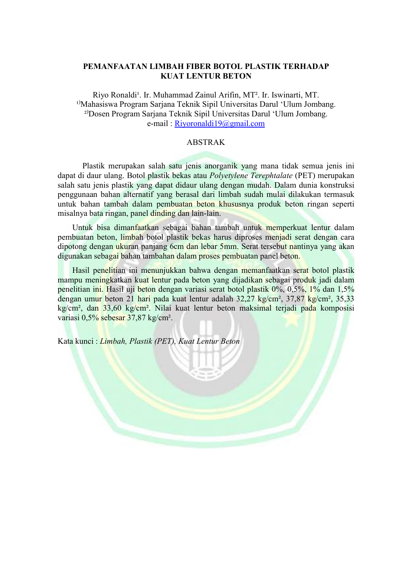## PEMANFAATAN LIMBAH FIBER BOTOL PLASTIK TERHADAP KUAT LENTUR BETON

Riyo Ronaldi<sup>1</sup>. Ir. Muhammad Zainul Arifin, MT<sup>2</sup>. Ir. Iswinarti, MT. <sup>1)</sup>Mahasiswa Program Sarjana Teknik Sipil Universitas Darul 'Ulum Jombang. <sup>2)</sup>Dosen Program Sarjana Teknik Sipil Universitas Darul 'Ulum Jombang. e-mail : Riyoronaldi19@gmail.com

## ABSTRAK

 Plastik merupakan salah satu jenis anorganik yang mana tidak semua jenis ini dapat di daur ulang. Botol plastik bekas atau Polyetylene Terephtalate (PET) merupakan salah satu jenis plastik yang dapat didaur ulang dengan mudah. Dalam dunia konstruksi penggunaan bahan alternatif yang berasal dari limbah sudah mulai dilakukan termasuk untuk bahan tambah dalam pembuatan beton khususnya produk beton ringan seperti misalnya bata ringan, panel dinding dan lain-lain.

Untuk bisa dimanfaatkan sebagai bahan tambah untuk memperkuat lentur dalam pembuatan beton, limbah botol plastik bekas harus diproses menjadi serat dengan cara dipotong dengan ukuran panjang 6cm dan lebar 5mm. Serat tersebut nantinya yang akan digunakan sebagai bahan tambahan dalam proses pembuatan panel beton.

Hasil penelitian ini menunjukkan bahwa dengan memanfaatkan serat botol plastik mampu meningkatkan kuat lentur pada beton yang dijadikan sebagai produk jadi dalam penelitian ini. Hasil uji beton dengan variasi serat botol plastik 0%, 0,5%, 1% dan 1,5% dengan umur beton 21 hari pada kuat lentur adalah 32,27 kg/cm², 37,87 kg/cm², 35,33 kg/cm², dan 33,60 kg/cm². Nilai kuat lentur beton maksimal terjadi pada komposisi variasi 0,5% sebesar 37,87 kg/cm².

Kata kunci : Limbah, Plastik (PET), Kuat Lentur Beton